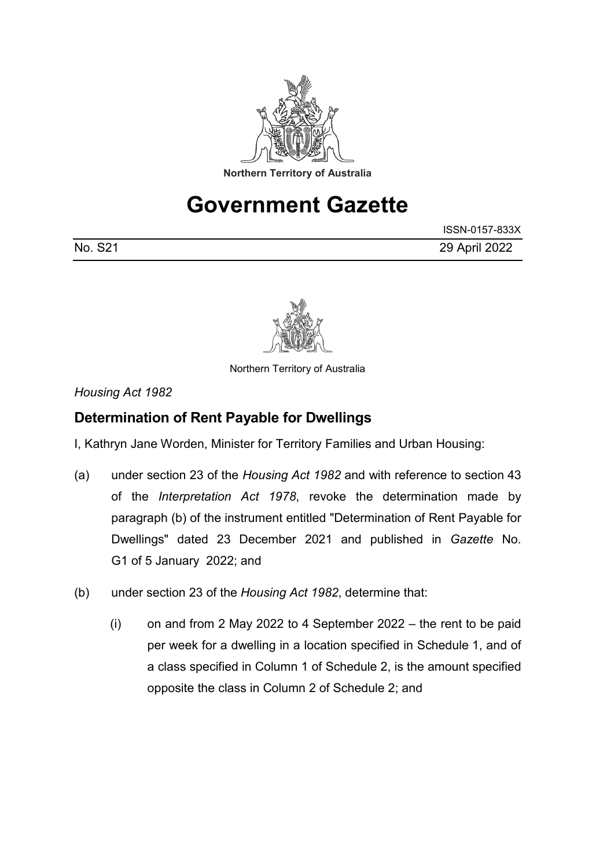

## **Government Gazette**

|         | ISSN-0157-833X |
|---------|----------------|
| No. S21 | 29 April 2022  |



Northern Territory of Australia

*Housing Act 1982*

## **Determination of Rent Payable for Dwellings**

I, Kathryn Jane Worden, Minister for Territory Families and Urban Housing:

- (a) under section 23 of the *Housing Act 1982* and with reference to section 43 of the *Interpretation Act 1978*, revoke the determination made by paragraph (b) of the instrument entitled "Determination of Rent Payable for Dwellings" dated 23 December 2021 and published in *Gazette* No. G1 of 5 January 2022; and
- (b) under section 23 of the *Housing Act 1982*, determine that:
	- (i) on and from 2 May 2022 to 4 September 2022 the rent to be paid per week for a dwelling in a location specified in Schedule 1, and of a class specified in Column 1 of Schedule 2, is the amount specified opposite the class in Column 2 of Schedule 2; and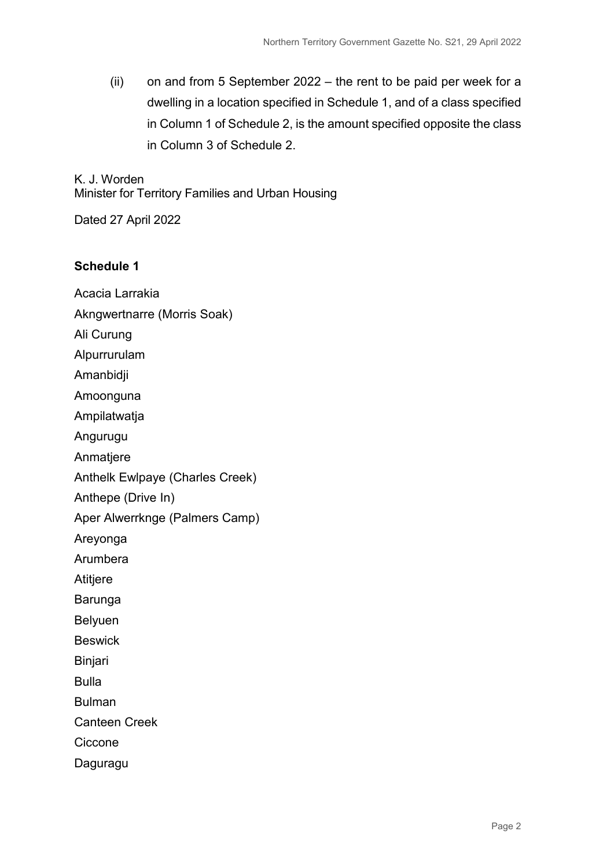(ii) on and from 5 September 2022 – the rent to be paid per week for a dwelling in a location specified in Schedule 1, and of a class specified in Column 1 of Schedule 2, is the amount specified opposite the class in Column 3 of Schedule 2.

## K. J. Worden

Minister for Territory Families and Urban Housing

Dated 27 April 2022

**Schedule 1** Acacia Larrakia Akngwertnarre (Morris Soak) Ali Curung Alpurrurulam Amanbidji Amoonguna Ampilatwatja Angurugu Anmatjere Anthelk Ewlpaye (Charles Creek) Anthepe (Drive In) Aper Alwerrknge (Palmers Camp) Areyonga Arumbera Atitjere Barunga Belyuen **Beswick Binjari** Bulla

Bulman

Canteen Creek

Ciccone

Daguragu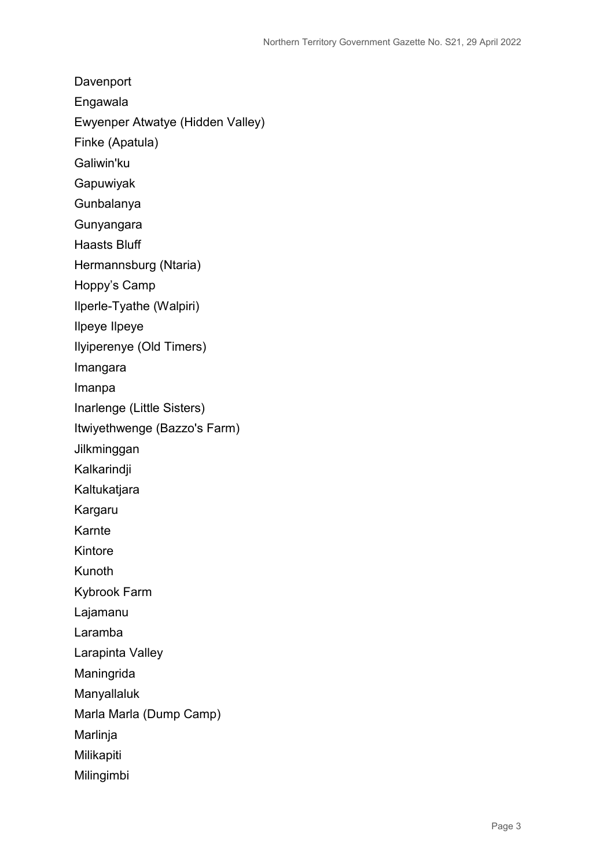Davenport Engawala Ewyenper Atwatye (Hidden Valley) Finke (Apatula) Galiwin'ku Gapuwiyak Gunbalanya Gunyangara Haasts Bluff Hermannsburg (Ntaria) Hoppy's Camp Ilperle-Tyathe (Walpiri) Ilpeye Ilpeye Ilyiperenye (Old Timers) Imangara Imanpa Inarlenge (Little Sisters) Itwiyethwenge (Bazzo's Farm) Jilkminggan Kalkarindji Kaltukatjara Kargaru Karnte Kintore Kunoth Kybrook Farm Lajamanu Laramba Larapinta Valley Maningrida Manyallaluk Marla Marla (Dump Camp) Marlinja Milikapiti Milingimbi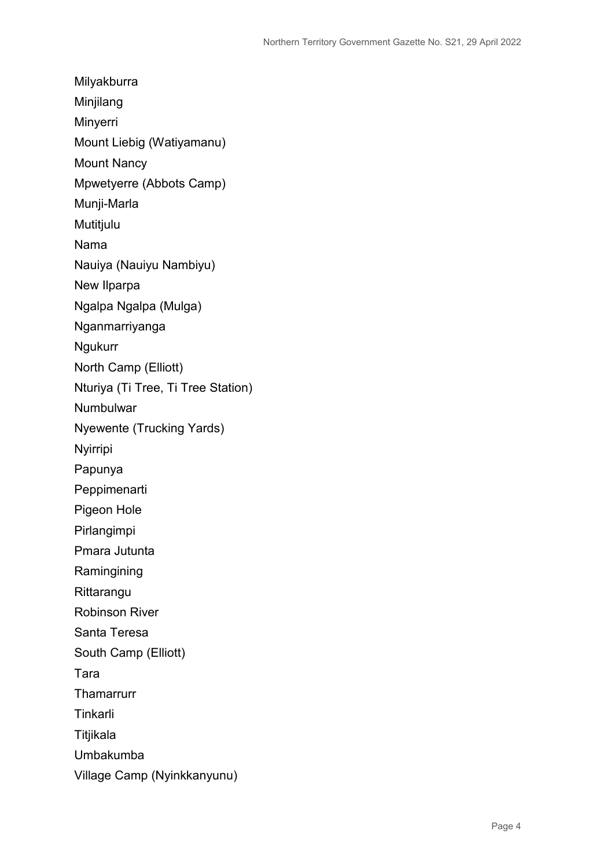Milyakburra Minjilang Minyerri Mount Liebig (Watiyamanu) Mount Nancy Mpwetyerre (Abbots Camp) Munji-Marla Mutitjulu Nama Nauiya (Nauiyu Nambiyu) New Ilparpa Ngalpa Ngalpa (Mulga) Nganmarriyanga Ngukurr North Camp (Elliott) Nturiya (Ti Tree, Ti Tree Station) Numbulwar Nyewente (Trucking Yards) Nyirripi Papunya Peppimenarti Pigeon Hole Pirlangimpi Pmara Jutunta Ramingining **Rittarangu** Robinson River Santa Teresa South Camp (Elliott) Tara **Thamarrurr Tinkarli Titjikala** Umbakumba Village Camp (Nyinkkanyunu)